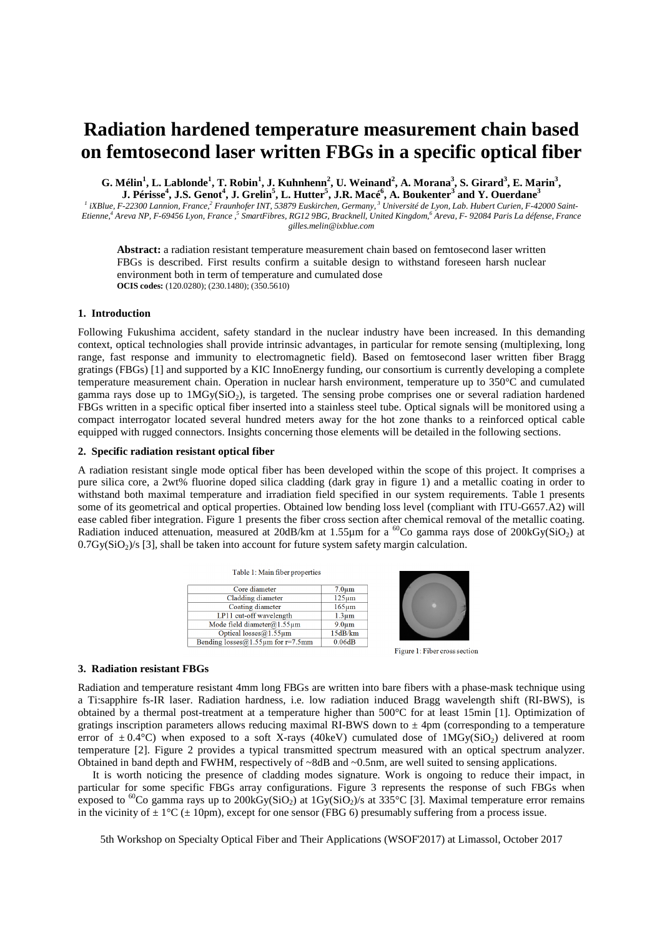# **Radiation hardened temperature measurement chain based on femtosecond laser written FBGs in a specific optical fiber**

G. Mélin<sup>1</sup>, L. Lablonde<sup>1</sup>, T. Robin<sup>1</sup>, J. Kuhnhenn<sup>2</sup>, U. Weinand<sup>2</sup>, A. Morana<sup>3</sup>, S. Girard<sup>3</sup>, E. Marin<sup>3</sup>, **J. Périsse<sup>4</sup>, J.S. Genot<sup>4</sup>, J. Grelin<sup>5</sup>, L. Hutter<sup>5</sup>, J.R. Macé<sup>6</sup>, A. Boukenter<sup>3</sup> and Y. Ouerdane<sup>3</sup><br>iXBlue, F-22300 Lannion, France,<sup>2</sup> Fraunhofer INT, 53879 Euskirchen, Germany,<sup>3</sup> Université de Lyon, Lab. Hubert** 

*Etienne,<sup>4</sup> Areva NP, F-69456 Lyon, France ,<sup>5</sup> SmartFibres, RG12 9BG, Bracknell, United Kingdom,<sup>6</sup> Areva, F- 92084 Paris La défense, France gilles.melin@ixblue.com* 

**Abstract:** a radiation resistant temperature measurement chain based on femtosecond laser written FBGs is described. First results confirm a suitable design to withstand foreseen harsh nuclear environment both in term of temperature and cumulated dose **OCIS codes:** (120.0280); (230.1480); (350.5610)

## **1. Introduction**

Following Fukushima accident, safety standard in the nuclear industry have been increased. In this demanding context, optical technologies shall provide intrinsic advantages, in particular for remote sensing (multiplexing, long range, fast response and immunity to electromagnetic field). Based on femtosecond laser written fiber Bragg gratings (FBGs) [1] and supported by a KIC InnoEnergy funding, our consortium is currently developing a complete temperature measurement chain. Operation in nuclear harsh environment, temperature up to 350°C and cumulated gamma rays dose up to  $1MGy(SiO<sub>2</sub>)$ , is targeted. The sensing probe comprises one or several radiation hardened FBGs written in a specific optical fiber inserted into a stainless steel tube. Optical signals will be monitored using a compact interrogator located several hundred meters away for the hot zone thanks to a reinforced optical cable equipped with rugged connectors. Insights concerning those elements will be detailed in the following sections.

## **2. Specific radiation resistant optical fiber**

A radiation resistant single mode optical fiber has been developed within the scope of this project. It comprises a pure silica core, a 2wt% fluorine doped silica cladding (dark gray in figure 1) and a metallic coating in order to withstand both maximal temperature and irradiation field specified in our system requirements. Table 1 presents some of its geometrical and optical properties. Obtained low bending loss level (compliant with ITU-G657.A2) will ease cabled fiber integration. Figure 1 presents the fiber cross section after chemical removal of the metallic coating. Radiation induced attenuation, measured at 20dB/km at 1.55 $\mu$ m for a <sup>60</sup>Co gamma rays dose of 200kGy(SiO<sub>2</sub>) at  $0.7Gy(SiO<sub>2</sub>)$ /s [3], shall be taken into account for future system safety margin calculation.

| Table 1. Infant floor properties    |                   |
|-------------------------------------|-------------------|
| Core diameter                       | $7.0 \mu m$       |
| Cladding diameter                   | $125 \mu m$       |
| Coating diameter                    | $165 \mu m$       |
| LP11 cut-off wavelength             | $1.3 \mu m$       |
| Mode field diameter@1.55 $\mu$ m    | 9.0 <sub>µm</sub> |
| Optical losses $@1.55 \mu m$        | 15dB/km           |
| Bending $losses@1.55um$ for r=7.5mm | 0.06dB            |

 $T$  . Let  $\mathcal{L}$  be a state of the contract of the state of the state of the state of the state of the state of the state of the state of the state of the state of the state of the state of the state of the state of the



Figure 1: Fiber cross section

#### **3. Radiation resistant FBGs**

Radiation and temperature resistant 4mm long FBGs are written into bare fibers with a phase-mask technique using a Ti:sapphire fs-IR laser. Radiation hardness, i.e. low radiation induced Bragg wavelength shift (RI-BWS), is obtained by a thermal post-treatment at a temperature higher than 500°C for at least 15min [1]. Optimization of gratings inscription parameters allows reducing maximal RI-BWS down to  $\pm$  4pm (corresponding to a temperature error of  $\pm 0.4$ °C) when exposed to a soft X-rays (40keV) cumulated dose of 1MGy(SiO<sub>2</sub>) delivered at room temperature [2]. Figure 2 provides a typical transmitted spectrum measured with an optical spectrum analyzer. Obtained in band depth and FWHM, respectively of ~8dB and ~0.5nm, are well suited to sensing applications.

It is worth noticing the presence of cladding modes signature. Work is ongoing to reduce their impact, in particular for some specific FBGs array configurations. Figure 3 represents the response of such FBGs when exposed to <sup>60</sup>Co gamma rays up to 200kGy(SiO<sub>2</sub>) at 1Gy(SiO<sub>2</sub>)/s at 335<sup>o</sup>C [3]. Maximal temperature error remains in the vicinity of  $\pm 1^{\circ}C (\pm 10 \text{pm})$ , except for one sensor (FBG 6) presumably suffering from a process issue.

5th Workshop on Specialty Optical Fiber and Their Applications (WSOF'2017) at Limassol, October 2017